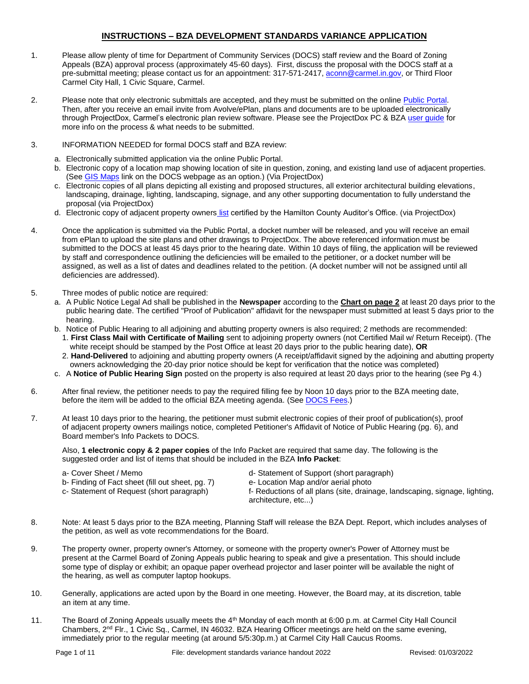# **INSTRUCTIONS – BZA DEVELOPMENT STANDARDS VARIANCE APPLICATION**

- 1. Please allow plenty of time for Department of Community Services (DOCS) staff review and the Board of Zoning Appeals (BZA) approval process (approximately 45-60 days). First, discuss the proposal with the DOCS staff at a pre-submittal meeting; please contact us for an appointment: 317-571-2417, [aconn@carmel.in.gov,](mailto:aconn@carmel.in.gov) or Third Floor Carmel City Hall, 1 Civic Square, Carmel.
- 2. Please note that only electronic submittals are accepted, and they must be submitted on the online Public Portal. Then, after you receive an email invite from Avolve/ePlan, plans and documents are to be uploaded electronically through ProjectDox, Carmel's electronic plan review software. Please see the ProjectDox PC & BZA user quide for more info on the process & what needs to be submitted.
- 3. INFORMATION NEEDED for formal DOCS staff and BZA review:
	- a. Electronically submitted application via the online Public Portal.
	- b. Electronic copy of a location map showing location of site in question, zoning, and existing land use of adjacent properties. (See [GIS Maps](https://carmelgis.carmel.in.gov/maps/apps/webappviewer/index.html?id=3005d15bb8ee47c48538605fa421a359&extent=-9600433.8691%2C4865462.0861%2C-9599860.5914%2C4865778.5832%2C102100) link on the DOCS webpage as an option.) (Via ProjectDox)
	- c. Electronic copies of all plans depicting all existing and proposed structures, all exterior architectural building elevations, landscaping, drainage, lighting, landscaping, signage, and any other supporting documentation to fully understand the proposal (via ProjectDox)
	- d. Electronic copy of adjacent property owners [list](https://www.hamiltoncounty.in.gov/369/Adjoiner-Property-Notifications) certified by the Hamilton County Auditor's Office. (via ProjectDox)
- 4. Once the application is submitted via the Public Portal, a docket number will be released, and you will receive an email from ePlan to upload the site plans and other drawings to ProjectDox. The above referenced information must be submitted to the DOCS at least 45 days prior to the hearing date. Within 10 days of filing, the application will be reviewed by staff and correspondence outlining the deficiencies will be emailed to the petitioner, or a docket number will be assigned, as well as a list of dates and deadlines related to the petition. (A docket number will not be assigned until all deficiencies are addressed).
- 5. Three modes of public notice are required:
	- a. A Public Notice Legal Ad shall be published in the **Newspaper** according to the **Chart on page 2** at least 20 days prior to the public hearing date. The certified "Proof of Publication" affidavit for the newspaper must submitted at least 5 days prior to the hearing.
	- b. Notice of Public Hearing to all adjoining and abutting property owners is also required; 2 methods are recommended: 1. **First Class Mail with Certificate of Mailing** sent to adjoining property owners (not Certified Mail w/ Return Receipt). (The
		- white receipt should be stamped by the Post Office at least 20 days prior to the public hearing date), **OR** 2. **Hand-Delivered** to adjoining and abutting property owners (A receipt/affidavit signed by the adjoining and abutting property owners acknowledging the 20-day prior notice should be kept for verification that the notice was completed)
	- c. A **Notice of Public Hearing Sign** posted on the property is also required at least 20 days prior to the hearing (see Pg 4.)
- 6. After final review, the petitioner needs to pay the required filling fee by Noon 10 days prior to the BZA meeting date, before the item will be added to the official BZA meeting agenda. (Se[e DOCS Fees.](https://www.carmel.in.gov/department-services/community-services-planning-and-zoning-/applications-fees-and-permits))
- 7. At least 10 days prior to the hearing, the petitioner must submit electronic copies of their proof of publication(s), proof of adjacent property owners mailings notice, completed Petitioner's Affidavit of Notice of Public Hearing (pg. 6), and Board member's Info Packets to DOCS.

Also, **1 electronic copy & 2 paper copies** of the Info Packet are required that same day. The following is the suggested order and list of items that should be included in the BZA **Info Packet**:

- 
- b- Finding of Fact sheet (fill out sheet, pg. 7) e- Location Map and/or aerial photo
- 
- a- Cover Sheet / Memo d- Statement of Support (short paragraph)
	-
- 
- c- Statement of Request (short paragraph) f- Reductions of all plans (site, drainage, landscaping, signage, lighting, architecture, etc...)
- 8. Note: At least 5 days prior to the BZA meeting, Planning Staff will release the BZA Dept. Report, which includes analyses of the petition, as well as vote recommendations for the Board.
- 9. The property owner, property owner's Attorney, or someone with the property owner's Power of Attorney must be present at the Carmel Board of Zoning Appeals public hearing to speak and give a presentation. This should include some type of display or exhibit; an opaque paper overhead projector and laser pointer will be available the night of the hearing, as well as computer laptop hookups.
- 10. Generally, applications are acted upon by the Board in one meeting. However, the Board may, at its discretion, table an item at any time.
- 11. The Board of Zoning Appeals usually meets the 4th Monday of each month at 6:00 p.m. at Carmel City Hall Council Chambers, 2<sup>nd</sup> Flr., 1 Civic Sq., Carmel, IN 46032. BZA Hearing Officer meetings are held on the same evening, immediately prior to the regular meeting (at around 5/5:30p.m.) at Carmel City Hall Caucus Rooms.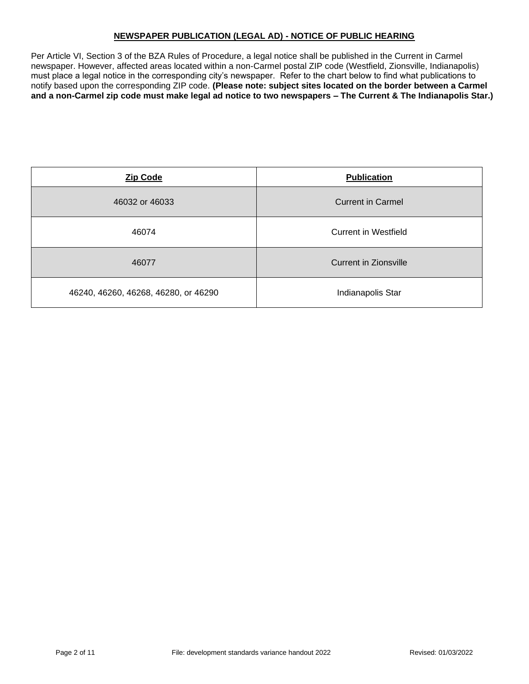# **NEWSPAPER PUBLICATION (LEGAL AD) - NOTICE OF PUBLIC HEARING**

Per Article VI, Section 3 of the BZA Rules of Procedure, a legal notice shall be published in the Current in Carmel newspaper. However, affected areas located within a non-Carmel postal ZIP code (Westfield, Zionsville, Indianapolis) must place a legal notice in the corresponding city's newspaper. Refer to the chart below to find what publications to notify based upon the corresponding ZIP code. **(Please note: subject sites located on the border between a Carmel and a non-Carmel zip code must make legal ad notice to two newspapers – The Current & The Indianapolis Star.)**

| <b>Zip Code</b>                      | <b>Publication</b>       |  |
|--------------------------------------|--------------------------|--|
| 46032 or 46033                       | <b>Current in Carmel</b> |  |
| 46074                                | Current in Westfield     |  |
| 46077                                | Current in Zionsville    |  |
| 46240, 46260, 46268, 46280, or 46290 | Indianapolis Star        |  |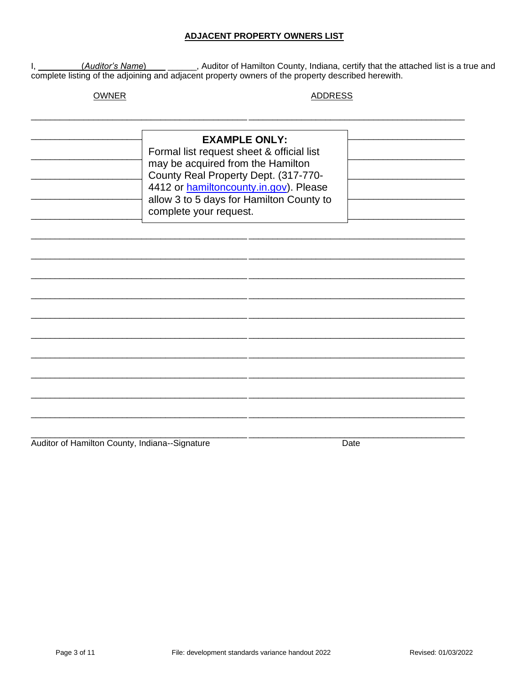# **ADJACENT PROPERTY OWNERS LIST**

I, \_\_\_\_\_\_\_\_(Auditor's Name) \_\_\_\_\_\_\_\_, Auditor of Hamilton County, Indiana, certify that the attached list is a true and complete listing of the adjoining and adjacent property owners of the property described herewith.

# **OWNER**

#### **ADDRESS**

| <b>EXAMPLE ONLY:</b><br>Formal list request sheet & official list<br>may be acquired from the Hamilton<br>County Real Property Dept. (317-770-<br>4412 or hamiltoncounty.in.gov). Please<br>allow 3 to 5 days for Hamilton County to<br>complete your request. |  |  |  |
|----------------------------------------------------------------------------------------------------------------------------------------------------------------------------------------------------------------------------------------------------------------|--|--|--|
|                                                                                                                                                                                                                                                                |  |  |  |
|                                                                                                                                                                                                                                                                |  |  |  |
|                                                                                                                                                                                                                                                                |  |  |  |
|                                                                                                                                                                                                                                                                |  |  |  |
|                                                                                                                                                                                                                                                                |  |  |  |
|                                                                                                                                                                                                                                                                |  |  |  |
|                                                                                                                                                                                                                                                                |  |  |  |
|                                                                                                                                                                                                                                                                |  |  |  |
|                                                                                                                                                                                                                                                                |  |  |  |
|                                                                                                                                                                                                                                                                |  |  |  |
|                                                                                                                                                                                                                                                                |  |  |  |

Auditor of Hamilton County, Indiana--Signature

Date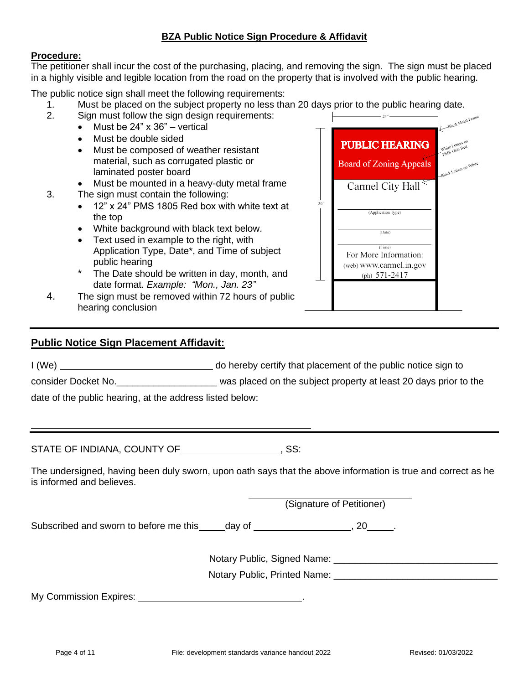# **BZA Public Notice Sign Procedure & Affidavit**

## **Procedure:**

The petitioner shall incur the cost of the purchasing, placing, and removing the sign. The sign must be placed in a highly visible and legible location from the road on the property that is involved with the public hearing.

The public notice sign shall meet the following requirements:

- 1. Must be placed on the subject property no less than 20 days prior to the public hearing date.
- 2. Sign must follow the sign design requirements:
	- Must be 24" x 36" vertical
	- Must be double sided
	- Must be composed of weather resistant material, such as corrugated plastic or laminated poster board
	- Must be mounted in a heavy-duty metal frame
- 3. The sign must contain the following:
	- 12" x 24" PMS 1805 Red box with white text at the top
	- White background with black text below.
	- Text used in example to the right, with Application Type, Date\*, and Time of subject public hearing
	- The Date should be written in day, month, and date format. *Example: "Mon., Jan. 23"*
- 4. The sign must be removed within 72 hours of public hearing conclusion

# **Public Notice Sign Placement Affidavit:**

I (We) do hereby certify that placement of the public notice sign to

consider Docket No.\_\_\_\_\_\_\_\_\_\_\_\_\_\_\_\_\_\_\_ was placed on the subject property at least 20 days prior to the

date of the public hearing, at the address listed below:

STATE OF INDIANA, COUNTY OF **COUNTY OF ACCEPT**, SS:

The undersigned, having been duly sworn, upon oath says that the above information is true and correct as he is informed and believes.

(Signature of Petitioner)

Subscribed and sworn to before me this day of  $\sim$ , 20  $\sim$ .

Notary Public, Signed Name: \_\_\_\_\_\_\_\_\_\_\_\_\_\_\_\_\_\_\_\_\_\_\_\_\_\_\_\_\_\_\_

Notary Public, Printed Name:

My Commission Expires: .

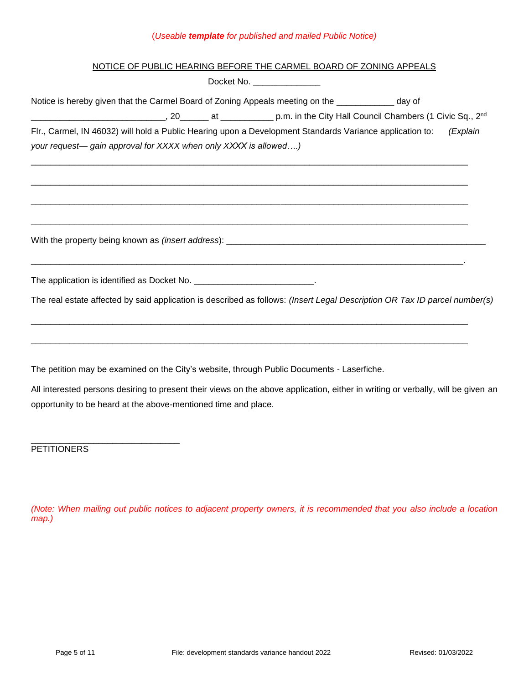## (*Useable template for published and mailed Public Notice)*

# NOTICE OF PUBLIC HEARING BEFORE THE CARMEL BOARD OF ZONING APPEALS

Docket No.

| DUUNULI 110. __________________                                                                                                  |
|----------------------------------------------------------------------------------------------------------------------------------|
| Notice is hereby given that the Carmel Board of Zoning Appeals meeting on the ____________ day of                                |
| D.m. in the City Hall Council Chambers (1 Civic Sq., 2nd Council Chambers (1 Civic Sq., 2nd Council Chambers (1 Civic Sq., 2nd   |
| Flr., Carmel, IN 46032) will hold a Public Hearing upon a Development Standards Variance application to:<br>(Explain             |
| your request— gain approval for XXXX when only XXXX is allowed)                                                                  |
|                                                                                                                                  |
|                                                                                                                                  |
|                                                                                                                                  |
| The application is identified as Docket No. ___________________________.                                                         |
| The real estate affected by said application is described as follows: (Insert Legal Description OR Tax ID parcel number(s)       |
|                                                                                                                                  |
| The petition may be examined on the City's website, through Public Documents - Laserfiche.                                       |
| All interested persons desiring to present their views on the above application, either in writing or verbally, will be given an |

opportunity to be heard at the above-mentioned time and place.

**PETITIONERS** 

\_\_\_\_\_\_\_\_\_\_\_\_\_\_\_\_\_\_\_\_\_\_\_\_\_\_\_\_\_\_\_

*(Note: When mailing out public notices to adjacent property owners, it is recommended that you also include a location map.)*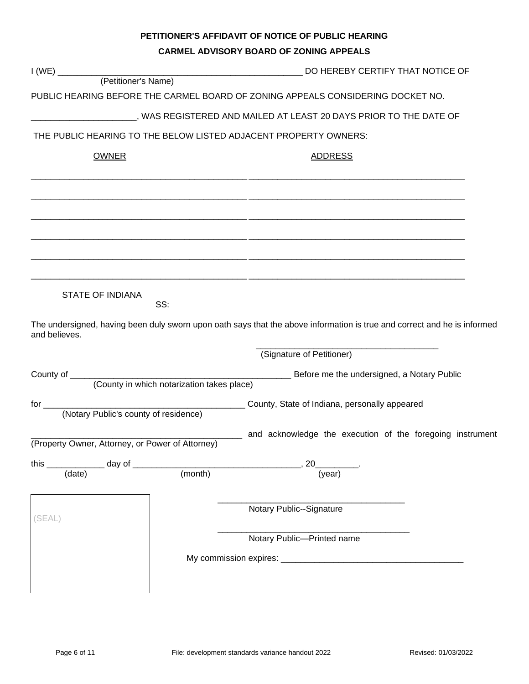# **PETITIONER'S AFFIDAVIT OF NOTICE OF PUBLIC HEARING**

#### **CARMEL ADVISORY BOARD OF ZONING APPEALS**

|                                                  |         | DO HEREBY CERTIFY THAT NOTICE OF                                                                                         |  |
|--------------------------------------------------|---------|--------------------------------------------------------------------------------------------------------------------------|--|
|                                                  |         |                                                                                                                          |  |
|                                                  |         | PUBLIC HEARING BEFORE THE CARMEL BOARD OF ZONING APPEALS CONSIDERING DOCKET NO.                                          |  |
|                                                  |         | ________________, WAS REGISTERED AND MAILED AT LEAST 20 DAYS PRIOR TO THE DATE OF                                        |  |
|                                                  |         | THE PUBLIC HEARING TO THE BELOW LISTED ADJACENT PROPERTY OWNERS:                                                         |  |
| <b>OWNER</b>                                     |         | <b>ADDRESS</b>                                                                                                           |  |
|                                                  |         |                                                                                                                          |  |
|                                                  |         |                                                                                                                          |  |
|                                                  |         |                                                                                                                          |  |
|                                                  |         |                                                                                                                          |  |
|                                                  |         |                                                                                                                          |  |
| <b>STATE OF INDIANA</b>                          | SS:     |                                                                                                                          |  |
| and believes.                                    |         | The undersigned, having been duly sworn upon oath says that the above information is true and correct and he is informed |  |
|                                                  |         | (Signature of Petitioner)                                                                                                |  |
|                                                  |         |                                                                                                                          |  |
|                                                  |         |                                                                                                                          |  |
|                                                  |         |                                                                                                                          |  |
| (Property Owner, Attorney, or Power of Attorney) |         | ____ and acknowledge the execution of the foregoing instrument                                                           |  |
|                                                  |         |                                                                                                                          |  |
| (data)                                           | (month) | (year)                                                                                                                   |  |
|                                                  |         | Notary Public--Signature                                                                                                 |  |
| (SEAL)                                           |         | Notary Public-Printed name                                                                                               |  |
|                                                  |         |                                                                                                                          |  |
|                                                  |         |                                                                                                                          |  |
|                                                  |         |                                                                                                                          |  |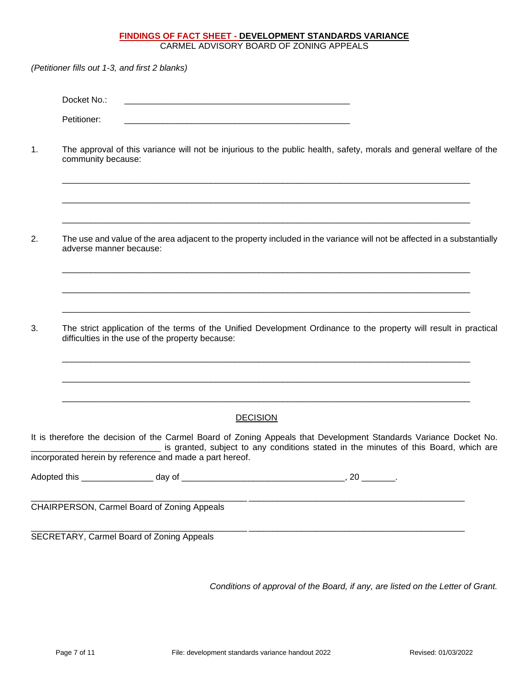# **FINDINGS OF FACT SHEET - DEVELOPMENT STANDARDS VARIANCE**

CARMEL ADVISORY BOARD OF ZONING APPEALS

*(Petitioner fills out 1-3, and first 2 blanks)* Docket No.: Petitioner: 1. The approval of this variance will not be injurious to the public health, safety, morals and general welfare of the community because: \_\_\_\_\_\_\_\_\_\_\_\_\_\_\_\_\_\_\_\_\_\_\_\_\_\_\_\_\_\_\_\_\_\_\_\_\_\_\_\_\_\_\_\_\_\_\_\_\_\_\_\_\_\_\_\_\_\_\_\_\_\_\_\_\_\_\_\_\_\_\_\_\_\_\_\_\_\_\_\_\_\_\_\_\_ \_\_\_\_\_\_\_\_\_\_\_\_\_\_\_\_\_\_\_\_\_\_\_\_\_\_\_\_\_\_\_\_\_\_\_\_\_\_\_\_\_\_\_\_\_\_\_\_\_\_\_\_\_\_\_\_\_\_\_\_\_\_\_\_\_\_\_\_\_\_\_\_\_\_\_\_\_\_\_\_\_\_\_\_\_ \_\_\_\_\_\_\_\_\_\_\_\_\_\_\_\_\_\_\_\_\_\_\_\_\_\_\_\_\_\_\_\_\_\_\_\_\_\_\_\_\_\_\_\_\_\_\_\_\_\_\_\_\_\_\_\_\_\_\_\_\_\_\_\_\_\_\_\_\_\_\_\_\_\_\_\_\_\_\_\_\_\_\_\_\_ 2. The use and value of the area adjacent to the property included in the variance will not be affected in a substantially adverse manner because: \_\_\_\_\_\_\_\_\_\_\_\_\_\_\_\_\_\_\_\_\_\_\_\_\_\_\_\_\_\_\_\_\_\_\_\_\_\_\_\_\_\_\_\_\_\_\_\_\_\_\_\_\_\_\_\_\_\_\_\_\_\_\_\_\_\_\_\_\_\_\_\_\_\_\_\_\_\_\_\_\_\_\_\_\_ \_\_\_\_\_\_\_\_\_\_\_\_\_\_\_\_\_\_\_\_\_\_\_\_\_\_\_\_\_\_\_\_\_\_\_\_\_\_\_\_\_\_\_\_\_\_\_\_\_\_\_\_\_\_\_\_\_\_\_\_\_\_\_\_\_\_\_\_\_\_\_\_\_\_\_\_\_\_\_\_\_\_\_\_\_ \_\_\_\_\_\_\_\_\_\_\_\_\_\_\_\_\_\_\_\_\_\_\_\_\_\_\_\_\_\_\_\_\_\_\_\_\_\_\_\_\_\_\_\_\_\_\_\_\_\_\_\_\_\_\_\_\_\_\_\_\_\_\_\_\_\_\_\_\_\_\_\_\_\_\_\_\_\_\_\_\_\_\_\_\_ 3. The strict application of the terms of the Unified Development Ordinance to the property will result in practical difficulties in the use of the property because: \_\_\_\_\_\_\_\_\_\_\_\_\_\_\_\_\_\_\_\_\_\_\_\_\_\_\_\_\_\_\_\_\_\_\_\_\_\_\_\_\_\_\_\_\_\_\_\_\_\_\_\_\_\_\_\_\_\_\_\_\_\_\_\_\_\_\_\_\_\_\_\_\_\_\_\_\_\_\_\_\_\_\_\_\_ \_\_\_\_\_\_\_\_\_\_\_\_\_\_\_\_\_\_\_\_\_\_\_\_\_\_\_\_\_\_\_\_\_\_\_\_\_\_\_\_\_\_\_\_\_\_\_\_\_\_\_\_\_\_\_\_\_\_\_\_\_\_\_\_\_\_\_\_\_\_\_\_\_\_\_\_\_\_\_\_\_\_\_\_\_ \_\_\_\_\_\_\_\_\_\_\_\_\_\_\_\_\_\_\_\_\_\_\_\_\_\_\_\_\_\_\_\_\_\_\_\_\_\_\_\_\_\_\_\_\_\_\_\_\_\_\_\_\_\_\_\_\_\_\_\_\_\_\_\_\_\_\_\_\_\_\_\_\_\_\_\_\_\_\_\_\_\_\_\_\_ **DECISION** It is therefore the decision of the Carmel Board of Zoning Appeals that Development Standards Variance Docket No. \_\_\_\_\_\_\_\_\_\_\_\_\_\_\_\_\_\_\_\_\_\_\_\_\_\_\_ is granted, subject to any conditions stated in the minutes of this Board, which are incorporated herein by reference and made a part hereof. Adopted this \_\_\_\_\_\_\_\_\_\_\_\_\_\_\_ day of \_\_\_\_\_\_\_\_\_\_\_\_\_\_\_\_\_\_\_\_\_\_\_\_\_\_\_\_\_\_\_\_\_\_, 20 \_\_\_\_\_\_\_. \_\_\_\_\_\_\_\_\_\_\_\_\_\_\_\_\_\_\_\_\_\_\_\_\_\_\_\_\_\_\_\_\_\_\_\_\_\_\_\_\_\_\_\_\_ \_\_\_\_\_\_\_\_\_\_\_\_\_\_\_\_\_\_\_\_\_\_\_\_\_\_\_\_\_\_\_\_\_\_\_\_\_\_\_\_\_\_\_\_\_ CHAIRPERSON, Carmel Board of Zoning Appeals \_\_\_\_\_\_\_\_\_\_\_\_\_\_\_\_\_\_\_\_\_\_\_\_\_\_\_\_\_\_\_\_\_\_\_\_\_\_\_\_\_\_\_\_\_ \_\_\_\_\_\_\_\_\_\_\_\_\_\_\_\_\_\_\_\_\_\_\_\_\_\_\_\_\_\_\_\_\_\_\_\_\_\_\_\_\_\_\_\_\_ SECRETARY, Carmel Board of Zoning Appeals *Conditions of approval of the Board, if any, are listed on the Letter of Grant.*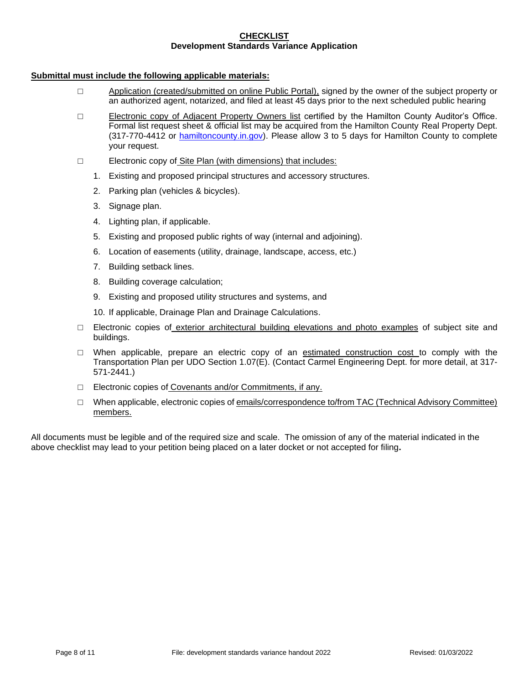#### **CHECKLIST Development Standards Variance Application**

### **Submittal must include the following applicable materials:**

- □ Application (created/submitted on online Public Portal), signed by the owner of the subject property or an authorized agent, notarized, and filed at least 45 days prior to the next scheduled public hearing
- □ Electronic copy of Adjacent Property Owners list certified by the Hamilton County Auditor's Office. Formal list request sheet & official list may be acquired from the Hamilton County Real Property Dept. (317-770-4412 or [hamiltoncounty.in.gov\)](https://www.hamiltoncounty.in.gov/369/Adjoiner-Property-Notifications). Please allow 3 to 5 days for Hamilton County to complete your request.
- □ Electronic copy of Site Plan (with dimensions) that includes:
	- 1. Existing and proposed principal structures and accessory structures.
	- 2. Parking plan (vehicles & bicycles).
	- 3. Signage plan.
	- 4. Lighting plan, if applicable.
	- 5. Existing and proposed public rights of way (internal and adjoining).
	- 6. Location of easements (utility, drainage, landscape, access, etc.)
	- 7. Building setback lines.
	- 8. Building coverage calculation;
	- 9. Existing and proposed utility structures and systems, and
	- 10. If applicable, Drainage Plan and Drainage Calculations.
- □ Electronic copies of exterior architectural building elevations and photo examples of subject site and buildings.
- $\Box$  When applicable, prepare an electric copy of an estimated construction cost to comply with the Transportation Plan per UDO Section 1.07(E). (Contact Carmel Engineering Dept. for more detail, at 317- 571-2441.)
- □ Electronic copies of Covenants and/or Commitments, if any.
- □ When applicable, electronic copies of emails/correspondence to/from TAC (Technical Advisory Committee) members.

All documents must be legible and of the required size and scale. The omission of any of the material indicated in the above checklist may lead to your petition being placed on a later docket or not accepted for filing**.**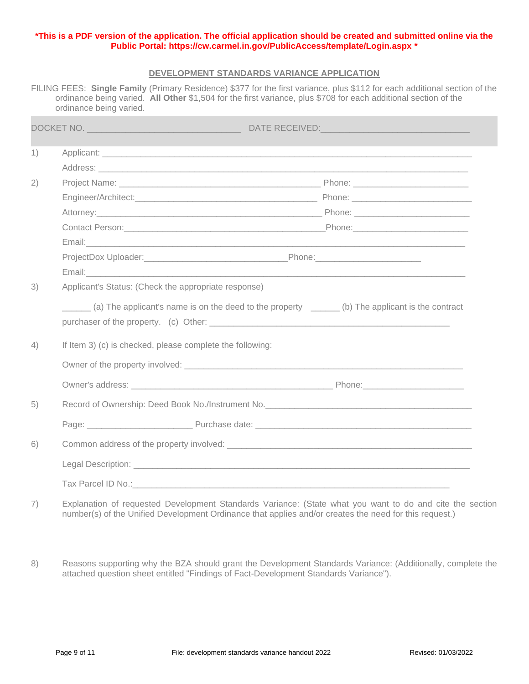## **\*This is a PDF version of the application. The official application should be created and submitted online via the Public Portal:<https://cw.carmel.in.gov/PublicAccess/template/Login.aspx> \***

### **DEVELOPMENT STANDARDS VARIANCE APPLICATION**

FILING FEES: **Single Family** (Primary Residence) \$377 for the first variance, plus \$112 for each additional section of the ordinance being varied. **All Other** \$1,504 for the first variance, plus \$708 for each additional section of the ordinance being varied.

| 1) |                                                                                                                                                                |                                                                                                                                                                                                                                |  |  |
|----|----------------------------------------------------------------------------------------------------------------------------------------------------------------|--------------------------------------------------------------------------------------------------------------------------------------------------------------------------------------------------------------------------------|--|--|
|    |                                                                                                                                                                |                                                                                                                                                                                                                                |  |  |
| 2) |                                                                                                                                                                |                                                                                                                                                                                                                                |  |  |
|    |                                                                                                                                                                |                                                                                                                                                                                                                                |  |  |
|    |                                                                                                                                                                | Attorney: Phone: Phone: Phone: Phone: Phone: Phone: Phone: Phone: Phone: Phone: Phone: Phone: Phone: Phone: Phone: Phone: Phone: Phone: Phone: Phone: Phone: Phone: Phone: Phone: Phone: Phone: Phone: Phone: Phone: Phone: Ph |  |  |
|    |                                                                                                                                                                |                                                                                                                                                                                                                                |  |  |
|    |                                                                                                                                                                |                                                                                                                                                                                                                                |  |  |
|    |                                                                                                                                                                |                                                                                                                                                                                                                                |  |  |
|    |                                                                                                                                                                |                                                                                                                                                                                                                                |  |  |
| 4) | (a) The applicant's name is on the deed to the property _______ (b) The applicant is the contract<br>If Item 3) (c) is checked, please complete the following: |                                                                                                                                                                                                                                |  |  |
|    | Owner of the property involved: example and the contract of the property involved:                                                                             |                                                                                                                                                                                                                                |  |  |
|    |                                                                                                                                                                |                                                                                                                                                                                                                                |  |  |
| 5) |                                                                                                                                                                |                                                                                                                                                                                                                                |  |  |
|    |                                                                                                                                                                | Page: Purchase date: Purchase date: Purchase date: Purchase date: Purchase date: Purchase date: Purchase date:                                                                                                                 |  |  |
| 6) |                                                                                                                                                                |                                                                                                                                                                                                                                |  |  |
|    |                                                                                                                                                                |                                                                                                                                                                                                                                |  |  |
|    |                                                                                                                                                                |                                                                                                                                                                                                                                |  |  |

- 7) Explanation of requested Development Standards Variance: (State what you want to do and cite the section number(s) of the Unified Development Ordinance that applies and/or creates the need for this request.)
- 8) Reasons supporting why the BZA should grant the Development Standards Variance: (Additionally, complete the attached question sheet entitled "Findings of Fact-Development Standards Variance").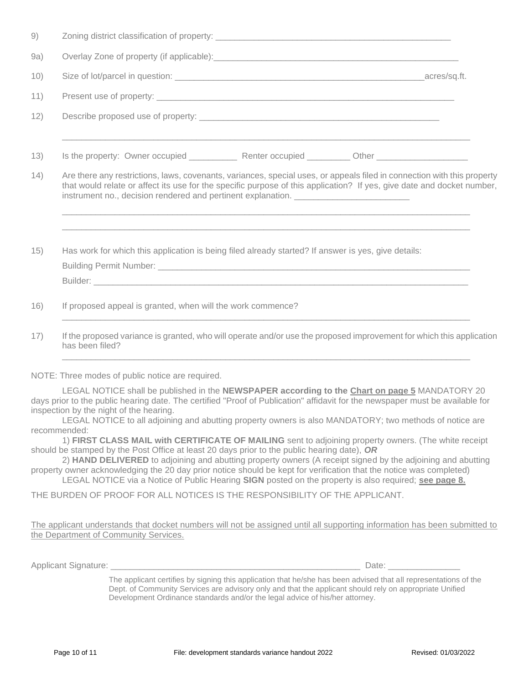| 9)   |                                                                                                                                                                                                                                                                                                                                        |  |  |
|------|----------------------------------------------------------------------------------------------------------------------------------------------------------------------------------------------------------------------------------------------------------------------------------------------------------------------------------------|--|--|
| 9a)  |                                                                                                                                                                                                                                                                                                                                        |  |  |
| 10)  |                                                                                                                                                                                                                                                                                                                                        |  |  |
| 11)  |                                                                                                                                                                                                                                                                                                                                        |  |  |
| 12)  |                                                                                                                                                                                                                                                                                                                                        |  |  |
| 13)  | <u>,这就是一个人的人,我们就是一个人的人,我们就是一个人的人,我们就是一个人的人,我们就是一个人的人,我们就是一个人的人,我们就是一个人的人,我们就是</u>                                                                                                                                                                                                                                                      |  |  |
| (14) | Are there any restrictions, laws, covenants, variances, special uses, or appeals filed in connection with this property<br>that would relate or affect its use for the specific purpose of this application? If yes, give date and docket number,<br>instrument no., decision rendered and pertinent explanation. ____________________ |  |  |
| 15)  | Has work for which this application is being filed already started? If answer is yes, give details:                                                                                                                                                                                                                                    |  |  |
| 16)  | If proposed appeal is granted, when will the work commence?                                                                                                                                                                                                                                                                            |  |  |
| 17)  | If the proposed variance is granted, who will operate and/or use the proposed improvement for which this application<br>has been filed?                                                                                                                                                                                                |  |  |
|      |                                                                                                                                                                                                                                                                                                                                        |  |  |

NOTE: Three modes of public notice are required.

LEGAL NOTICE shall be published in the **NEWSPAPER according to the Chart on page 5** MANDATORY 20 days prior to the public hearing date. The certified "Proof of Publication" affidavit for the newspaper must be available for inspection by the night of the hearing.

LEGAL NOTICE to all adjoining and abutting property owners is also MANDATORY; two methods of notice are recommended:

1) **FIRST CLASS MAIL with CERTIFICATE OF MAILING** sent to adjoining property owners. (The white receipt should be stamped by the Post Office at least 20 days prior to the public hearing date), *OR*

2) **HAND DELIVERED** to adjoining and abutting property owners (A receipt signed by the adjoining and abutting property owner acknowledging the 20 day prior notice should be kept for verification that the notice was completed)

LEGAL NOTICE via a Notice of Public Hearing **SIGN** posted on the property is also required; **see page 8.**

THE BURDEN OF PROOF FOR ALL NOTICES IS THE RESPONSIBILITY OF THE APPLICANT.

The applicant understands that docket numbers will not be assigned until all supporting information has been submitted to the Department of Community Services.

Applicant Signature: \_\_\_\_\_\_\_\_\_\_\_\_\_\_\_\_\_\_\_\_\_\_\_\_\_\_\_\_\_\_\_\_\_\_\_\_\_\_\_\_\_\_\_\_\_\_\_\_\_\_\_\_ Date: \_\_\_\_\_\_\_\_\_\_\_\_\_\_\_

The applicant certifies by signing this application that he/she has been advised that all representations of the Dept. of Community Services are advisory only and that the applicant should rely on appropriate Unified Development Ordinance standards and/or the legal advice of his/her attorney.